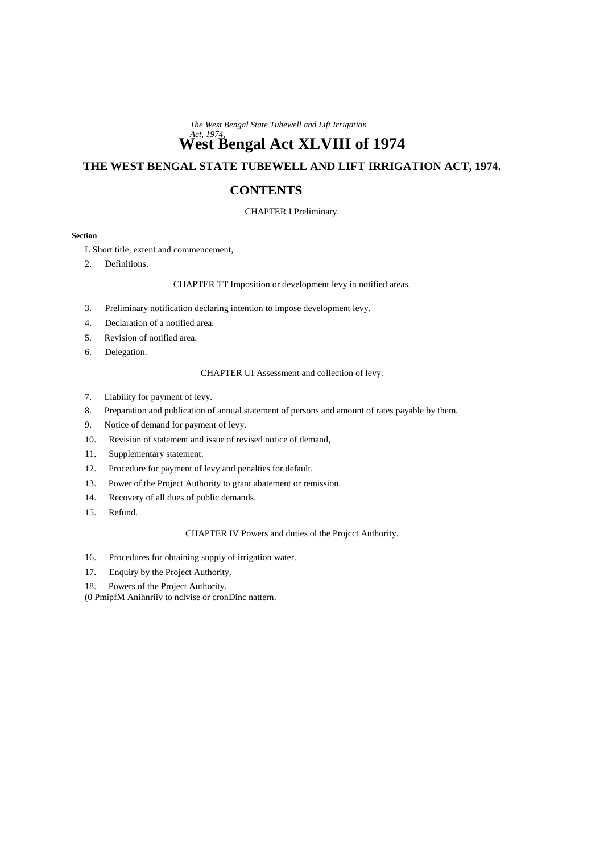*The West Bengal State Tubewell and Lift Irrigation*

# *Act, 1974,* **West Bengal Act XLVIII of 1974**

# **THE WEST BENGAL STATE TUBEWELL AND LIFT IRRIGATION ACT, 1974.**

# **CONTENTS**

# CHAPTER I Preliminary.

#### **Section**

L Short title, extent and commencement,

2. Definitions.

# CHAPTER TT Imposition or development levy in notified areas.

- 3. Preliminary notification declaring intention to impose development levy.
- 4. Declaration of a notified area.
- 5. Revision of notified area.
- 6. Delegation.

# CHAPTER UI Assessment and collection of levy.

- 7. Liability for payment of levy.
- 8. Preparation and publication of annual statement of persons and amount of rates payable by them.
- 9. Notice of demand for payment of levy.
- 10. Revision of statement and issue of revised notice of demand,
- 11. Supplementary statement.
- 12. Procedure for payment of levy and penalties for default.
- 13. Power of the Project Authority to grant abatement or remission.
- 14. Recovery of all dues of public demands.
- 15. Refund.

CHAPTER IV Powers and duties ol the Projcct Authority.

- 16. Procedures for obtaining supply of irrigation water.
- 17. Enquiry by the Project Authority,
- 18. Powers of the Project Authority.

(0 PmipfM Anihnriiv to nclvise or cronDinc nattern.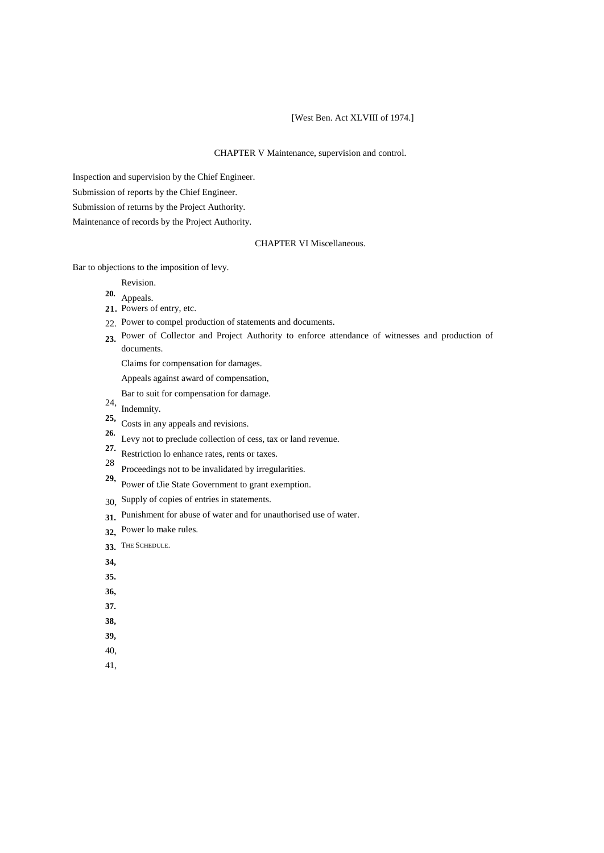# [West Ben. Act XLVIII of 1974.]

### CHAPTER V Maintenance, supervision and control.

Inspection and supervision by the Chief Engineer.

Submission of reports by the Chief Engineer.

Submission of returns by the Project Authority.

Maintenance of records by the Project Authority.

# CHAPTER VI Miscellaneous.

Bar to objections to the imposition of levy.

Revision.

Appeals. **20.**

- 21. Powers of entry, etc.
- 22. Power to compel production of statements and documents.
- 23. Power of Collector and Project Authority to enforce attendance of witnesses and production of documents.

Claims for compensation for damages.

Appeals against award of compensation,

Bar to suit for compensation for damage.

- 24, Indemnity.
- 25, Costs in any appeals and revisions.
- Levy not to preclude collection of cess, tax or land revenue. **26.**
- Restriction lo enhance rates, rents or taxes. **27.**
- Proceedings not to be invalidated by irregularities. 28
- Power of tJie State Government to grant exemption. **29,**
- Supply of copies of entries in statements. 30,
- Punishment for abuse of water and for unauthorised use of water. **31.**
- Power lo make rules. **32,**
- THE SCHEDULE. **33.**
- **34,**
- **35.**
- **36,**
- **37.**
- **38,**
- **39,**
- 40,
- 41,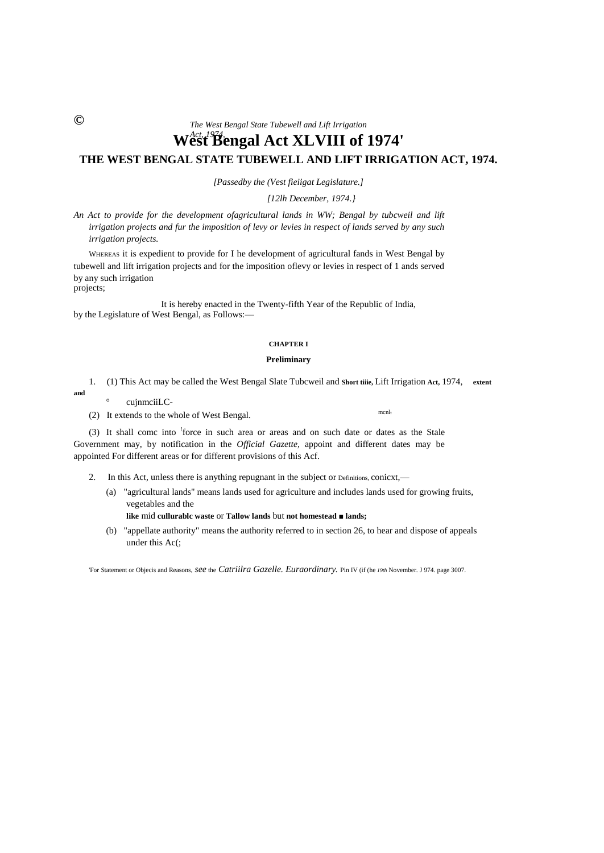*The West Bengal State Tubewell and Lift Irrigation*

# *Act, 1974,* **West Bengal Act XLVIII of 1974' THE WEST BENGAL STATE TUBEWELL AND LIFT IRRIGATION ACT, 1974.**

*[Passedby the (Vest fieiigat Legislature.]*

*[12lh December, 1974.}*

*An Act to provide for the development ofagricultural lands in WW; Bengal by tubcweil and lift irrigation projects and fur the imposition of levy or levies in respect of lands served by any such irrigation projects.*

WHEREAS it is expedient to provide for I he development of agricultural fands in West Bengal by tubewell and lift irrigation projects and for the imposition oflevy or levies in respect of 1 ands served by any such irrigation projects;

It is hereby enacted in the Twenty-fifth Year of the Republic of India, by the Legislature of West Bengal, as Follows:—

#### **CHAPTER I**

# **Preliminary**

- 1. (1) This Act may be called the West Bengal Slate Tubcweil and **Short tiiie,** Lift Irrigation **Act,** 1974, **extent** 
	- cujnmciiLC-
- (2) It extends to the whole of West Bengal. mcnl,

(3) It shall comc into <sup>1</sup>force in such area or areas and on such date or dates as the Stale Government may, by notification in the *Official Gazette,* appoint and different dates may be appointed For different areas or for different provisions of this Acf.

- 2. In this Act, unless there is anything repugnant in the subject or Definitions, conicxt,—
	- (a) "agricultural lands" means lands used for agriculture and includes lands used for growing fruits, vegetables and the
		- **like** mid **cullurablc waste** or **Tallow lands** but **not homestead ■ lands;**
	- (b) "appellate authority" means the authority referred to in section 26, to hear and dispose of appeals under this Ac(;

'For Statement or Objecis and Reasons, *see* the *Catriilra Gazelle. Euraordinary.* Pin IV (if (he *19th* November. J 974. page 3007.

**©**

**and**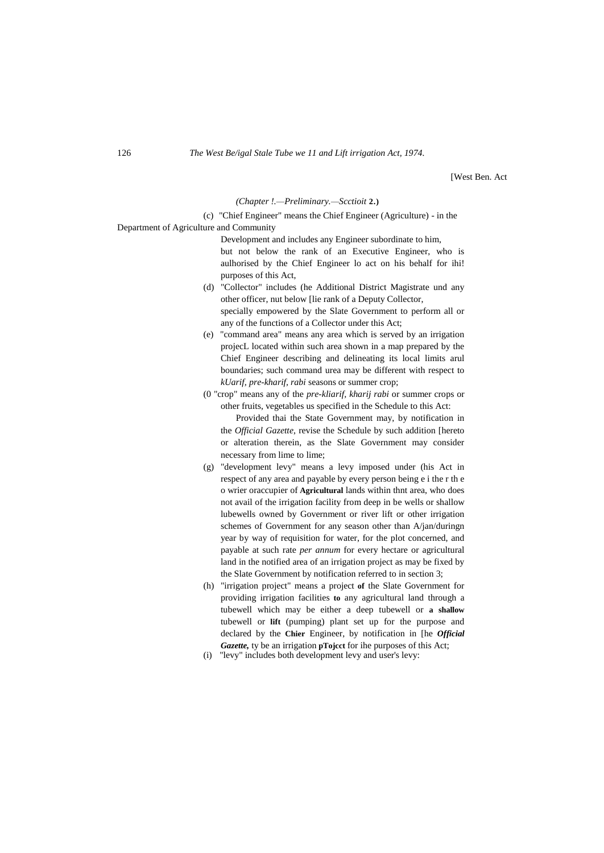[West Ben. Act

#### *(Chapter !.—Preliminary.—Scctioit* **2.)**

(c) "Chief Engineer" means the Chief Engineer (Agriculture) - in the

Department of Agriculture and Community

Development and includes any Engineer subordinate to him, but not below the rank of an Executive Engineer, who is aulhorised by the Chief Engineer lo act on his behalf for ihi! purposes of this Act,

- (d) "Collector" includes (he Additional District Magistrate und any other officer, nut below [lie rank of a Deputy Collector, specially empowered by the Slate Government to perform all or any of the functions of a Collector under this Act;
- (e) "command area" means any area which is served by an irrigation projecL located within such area shown in a map prepared by the Chief Engineer describing and delineating its local limits arul boundaries; such command urea may be different with respect to *kUarif, pre-kharif, rabi* seasons or summer crop;
- (0 "crop" means any of the *pre-kliarif, kharij rabi* or summer crops or other fruits, vegetables us specified in the Schedule to this Act:

Provided thai the State Government may, by notification in the *Official Gazette*, revise the Schedule by such addition [hereto or alteration therein, as the Slate Government may consider necessary from lime to lime;

- (g) "development levy" means a levy imposed under (his Act in respect of any area and payable by every person being e i the r th e o wrier oraccupier of **Agricultural** lands within thnt area, who does not avail of the irrigation facility from deep in be wells or shallow lubewells owned by Government or river lift or other irrigation schemes of Government for any season other than A/jan/duringn year by way of requisition for water, for the plot concerned, and payable at such rate *per annum* for every hectare or agricultural land in the notified area of an irrigation project as may be fixed by the Slate Government by notification referred to in section 3;
- (h) "irrigation project" means a project **of** the Slate Government for providing irrigation facilities **to** any agricultural land through a tubewell which may be either a deep tubewell or **a shallow** tubewell or **lift** (pumping) plant set up for the purpose and declared by the **Chier** Engineer, by notification in [he *Official Gazette,* ty be an irrigation **pTojcct** for ihe purposes of this Act;
- (i) "levy" includes both development levy and user's levy: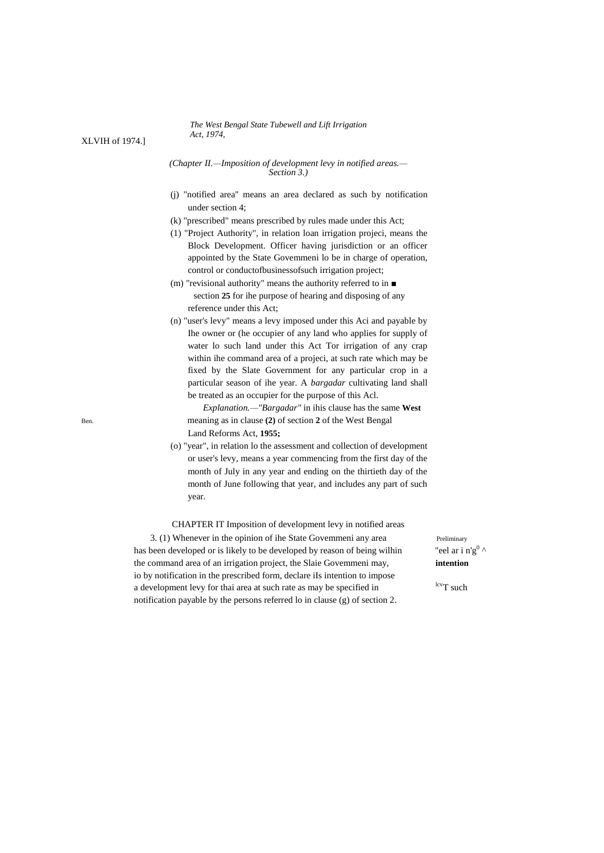#### *The West Bengal State Tubewell and Lift Irrigation Act, 1974,*

*(Chapter II.—Imposition of development levy in notified areas.— Section 3.)*

- (j) "notified area'' means an area declared as such by notification under section 4;
- (k) "prescribed" means prescribed by rules made under this Act;
- (1) "Project Authority", in relation loan irrigation projeci, means the Block Development. Officer having jurisdiction or an officer appointed by the State Govemmeni lo be in charge of operation, control or conductofbusinessofsuch irrigation project;
- (m) "revisional authority" means the authority referred to in section **25** for ihe purpose of hearing and disposing of any reference under this Act;
- (n) "user's levy" means a levy imposed under this Aci and payable by Ihe owner or (he occupier of any land who applies for supply of water lo such land under this Act Tor irrigation of any crap within ihe command area of a projeci, at such rate which may be fixed by the Slate Government for any particular crop in a particular season of ihe year. A *bargadar* cultivating land shall be treated as an occupier for the purpose of this Acl.

*Explanation.—"Bargadar"* in ihis clause has the same **West** Ben. meaning as in clause **(2)** of section **2** of the West Bengal Land Reforms Act, **1955;**

> (o) "year", in relation lo the assessment and collection of development or user's levy, means a year commencing from the first day of the month of July in any year and ending on the thirtieth day of the month of June following that year, and includes any part of such year.

CHAPTER IT Imposition of development levy in notified areas 3. (1) Whenever in the opinion of ihe State Govemmeni any area Preliminary has been developed or is likely to be developed by reason of being wilhin the command area of an irrigation project, the Slaie Govemmeni may, **intention** io by notification in the prescribed form, declare iIs intention to impose a development levy for thai area at such rate as may be specified in  $\frac{lev}{T}$  such notification payable by the persons referred lo in clause (g) of section 2.

"eel ar i n'g<sup>0</sup>

XLVIH of 1974.]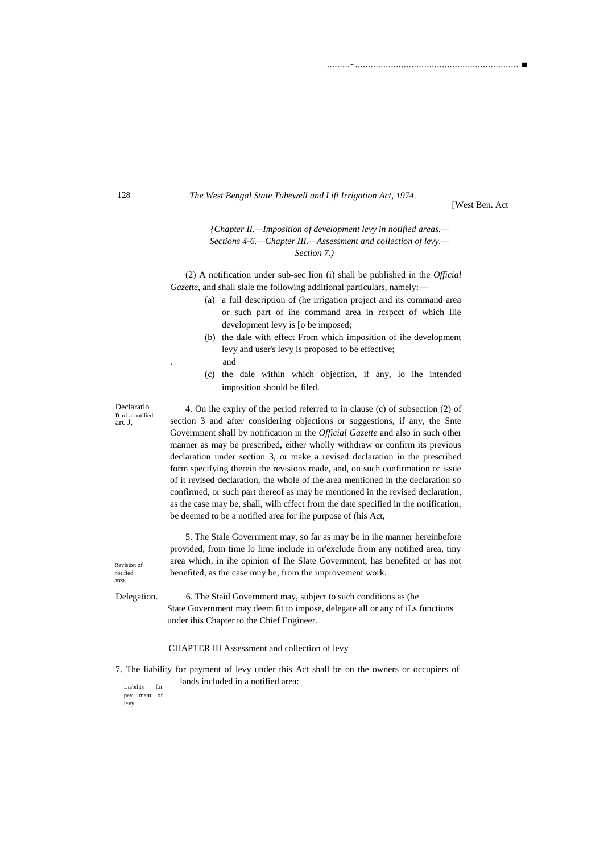#### *The West Bengal State Tubewell and Lifi Irrigation Act, 1974.*

[West Ben. Act

.........-................................................................ ■

# *{Chapter II.—Imposition of development levy in notified areas.— Sections 4-6.—Chapter III.—Assessment and collection of levy.— Section 7.)*

(2) A notification under sub-sec lion (i) shall be published in the *Official Gazette,* and shall slale the following additional particulars, namely:—

- (a) a full description of (he irrigation project and its command area or such part of ihe command area in rcspcct of which llie development levy is [o be imposed;
- (b) the dale with effect From which imposition of ihe development levy and user's levy is proposed to be effective;
	- . and
- (c) the dale within which objection, if any, lo ihe intended imposition should be filed.

Declaratio n of a notified arc J,

4. On ihe expiry of the period referred to in clause (c) of subsection (2) of section 3 and after considering objections or suggestions, if any, the Snte Government shall by notification in the *Official Gazette* and also in such other manner as may be prescribed, either wholly withdraw or confirm its previous declaration under section 3, or make a revised declaration in the prescribed form specifying therein the revisions made, and, on such confirmation or issue of it revised declaration, the whole of the area mentioned in the declaration so confirmed, or such part thereof as may be mentioned in the revised declaration, as the case may be, shall, wilh cffect from the date specified in the notification, be deemed to be a notified area for ihe purpose of (his Act,

5. The Stale Government may, so far as may be in ihe manner hereinbefore provided, from time lo lime include in or'exclude from any notified area, tiny area which, in ihe opinion of Ihe Slate Government, has benefited or has not benefited, as the case mny be, from the improvement work.

Revision of notified area.

Delegation. 6. The Staid Government may, subject to such conditions as (he State Government may deem fit to impose, delegate all or any of iLs functions under ihis Chapter to the Chief Engineer.

# CHAPTER III Assessment and collection of levy

7. The liability for payment of levy under this Act shall be on the owners or occupiers of lands included in a notified area:

Liability for pay mem of levy.

128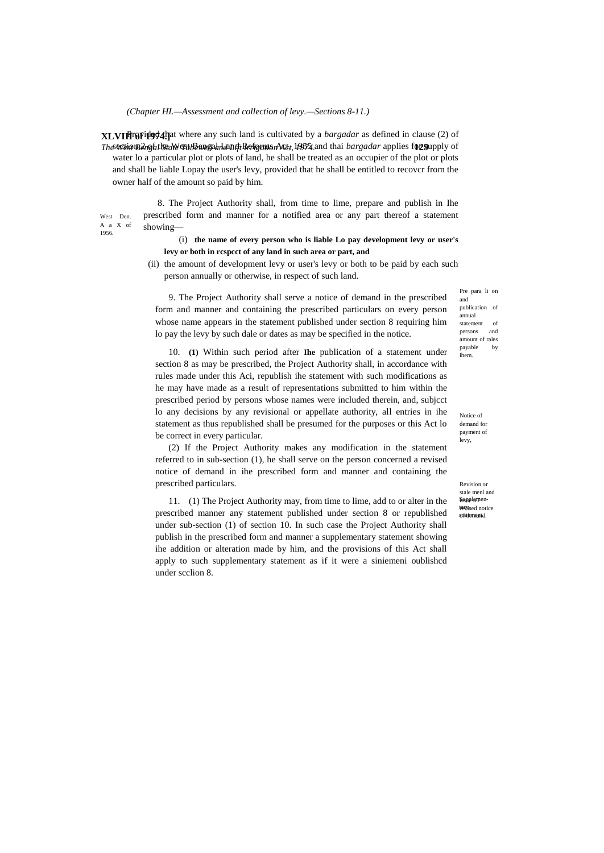*(Chapter HI.—Assessment and collection of levy.—Sections 8-11.)*

1956.

**XLVIFropided 4.** That where any such land is cultivated by a *bargadar* as defined in clause (2) of *The West Bengal State Tubcweil and Lift Irrigation Act, 1974.* **129** section 2 of the West Bengal Land Reforms Act, 1955 and thai *bargadar* applies for supply of water lo a particular plot or plots of land, he shall be treated as an occupier of the plot or plots and shall be liable Lopay the user's levy, provided that he shall be entitled to recovcr from the owner half of the amount so paid by him.

West Den. A a X of 8. The Project Authority shall, from time to lime, prepare and publish in Ihe prescribed form and manner for a notified area or any part thereof a statement showing—

# (i) **the name of every person who is liable Lo pay development levy or user's levy or both in rcspcct of any land in such area or part, and**

(ii) the amount of development levy or user's levy or both to be paid by each such person annually or otherwise, in respect of such land.

9. The Project Authority shall serve a notice of demand in the prescribed form and manner and containing the prescribed particulars on every person whose name appears in the statement published under section 8 requiring him lo pay the levy by such dale or dates as may be specified in the notice.

10. **(1)** Within such period after **Ihe** publication of a statement under section 8 as may be prescribed, the Project Authority shall, in accordance with rules made under this Aci, republish ihe statement with such modifications as he may have made as a result of representations submitted to him within the prescribed period by persons whose names were included therein, and, subjcct lo any decisions by any revisional or appellate authority, all entries in ihe statement as thus republished shall be presumed for the purposes or this Act lo be correct in every particular.

(2) If the Project Authority makes any modification in the statement referred to in sub-section (1), he shall serve on the person concerned a revised notice of demand in ihe prescribed form and manner and containing the prescribed particulars.

11. (1) The Project Authority may, from time to lime, add to or alter in the prescribed manner any statement published under section 8 or republished under sub-section (1) of section 10. In such case the Project Authority shall publish in the prescribed form and manner a supplementary statement showing ihe addition or alteration made by him, and the provisions of this Act shall apply to such supplementary statement as if it were a siniemeni oublishcd under scclion 8.

Pre para li on and publication of annual statement of persons and amount of rales payable by ihem.

Notice of demand for payment of levy,

Revision or stale menl and Supplementerwised notice ståtementd.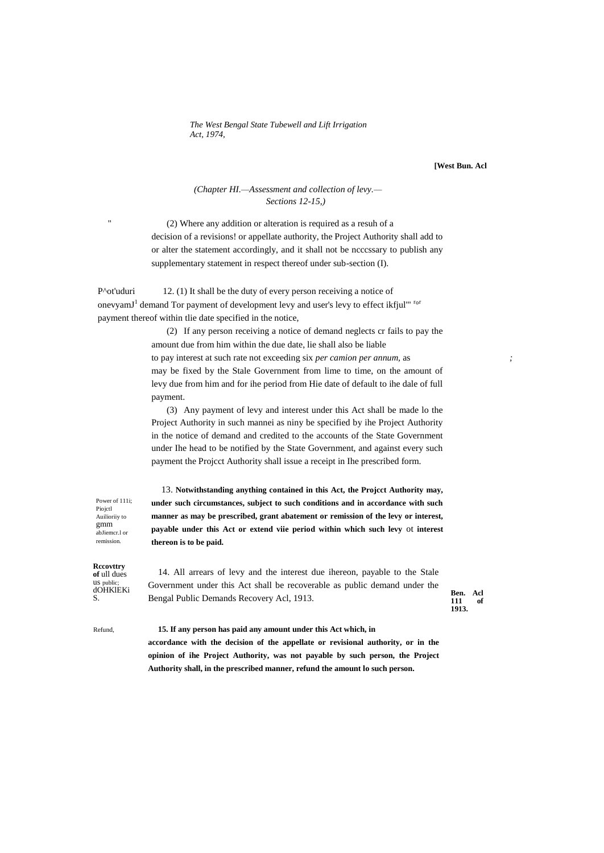*The West Bengal State Tubewell and Lift Irrigation Act, 1974,*

**[West Bun. Acl**

# *(Chapter HI.—Assessment and collection of levy.— Sections 12-15,)*

(2) Where any addition or alteration is required as a resuh of a decision of a revisions! or appellate authority, the Project Authority shall add to or alter the statement accordingly, and it shall not be ncccssary to publish any supplementary statement in respect thereof under sub-section (I).

P^ot'uduri 12. (1) It shall be the duty of every person receiving a notice of onevyamJ<sup>1</sup> demand Tor payment of development levy and user's levy to effect ikfjul"<sup>rot</sup> payment thereof within tlie date specified in the notice,

> (2) If any person receiving a notice of demand neglects cr fails to pay the amount due from him within the due date, lie shall also be liable to pay interest at such rate not exceeding six *per camion per annum,* as *;* may be fixed by the Stale Government from lime to time, on the amount of levy due from him and for ihe period from Hie date of default to ihe dale of full payment.

> (3) Any payment of levy and interest under this Act shall be made lo the Project Authority in such mannei as niny be specified by ihe Project Authority in the notice of demand and credited to the accounts of the State Government under Ihe head to be notified by the State Government, and against every such payment the Projcct Authority shall issue a receipt in Ihe prescribed form.

> 13. **Notwithstanding anything contained in this Act, the Projcct Authority may, under such circumstances, subject to such conditions and in accordance with such manner as may be prescribed, grant abatement or remission of the levy or interest, payable under this Act or extend viie period within which such levy** ot **interest thereon is to be paid.**

Piojctl Auilioriiy to gmm abJiemcr.l or remission.

Power of 111i;

**Rccovttry of** ull dues us <sub>public;</sub><br>dOHKlEKi

S. **Ben. Acl**  Bengal Public Demands Recovery Acl, 1913. 14. All arrears of levy and the interest due ihereon, payable to the Stale Government under this Act shall be recoverable as public demand under the

**111 of 1913.**

Refund, **15. If any person has paid any amount under this Act which, in accordance with the decision of the appellate or revisional authority, or in the opinion of ihe Project Authority, was not payable by such person, the Project Authority shall, in the prescribed manner, refund the amount lo such person.**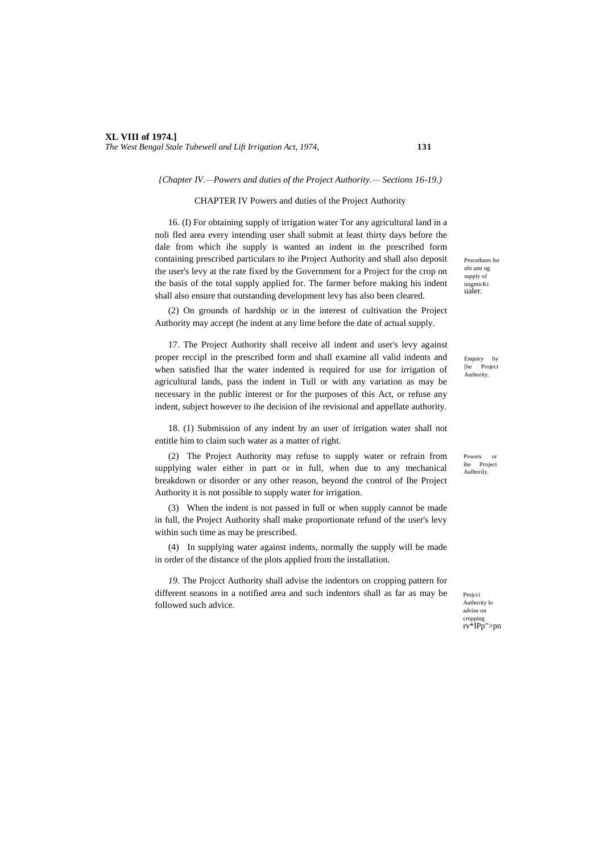*The West Bengal Stale Tubewell and Lift Irrigation Act, 1974,* **131**

#### *{Chapter IV.—Powers and duties of the Project Authority.— Sections 16-19.)*

#### CHAPTER IV Powers and duties of the Project Authority

16. (I) For obtaining supply of irrigation water Tor any agricultural land in a noli fled area every intending user shall submit at least thirty days before the dale from which ihe supply is wanted an indent in the prescribed form containing prescribed particulars to ihe Project Authority and shall also deposit the user's levy at the rate fixed by the Government for a Project for the crop on the basis of the total supply applied for. The farmer before making his indent shall also ensure that outstanding development levy has also been cleared.

(2) On grounds of hardship or in the interest of cultivation the Project Authority may accept (he indent at any lime before the date of actual supply.

17. The Project Authority shall receive all indent and user's levy against proper reccipl in the prescribed form and shall examine all valid indents and when satisfied lhat the water indented is required for use for irrigation of agricultural lands, pass the indent in Tull or with any variation as may be necessary in the public interest or for the purposes of this Act, or refuse any indent, subject however to ihe decision of ihe revisional and appellate authority.

18. (1) Submission of any indent by an user of irrigation water shall not entitle him to claim such water as a matter of right.

(2) The Project Authority may refuse to supply water or refrain from supplying waler either in part or in full, when due to any mechanical breakdown or disorder or any other reason, beyond the control of Ihe Project Authority it is not possible to supply water for irrigation.

(3) When the indent is not passed in full or when supply cannot be made in full, the Project Authority shall make proportionate refund of the user's levy within such time as may be prescribed.

(4) In supplying water against indents, normally the supply will be made in order of the distance of the plots applied from the installation.

*19.* The Projcct Authority shall advise the indentors on cropping pattern for different seasons in a notified area and such indentors shall as far as may be followed such advice.

Procedures for obi ami ng supply of inigmicKi ualer.

Enquiry by [he Project **Authority.** 

Powers or ihe Project Aulhorily.

Projcci Authority lo advise on cropping rv\*IPp">pn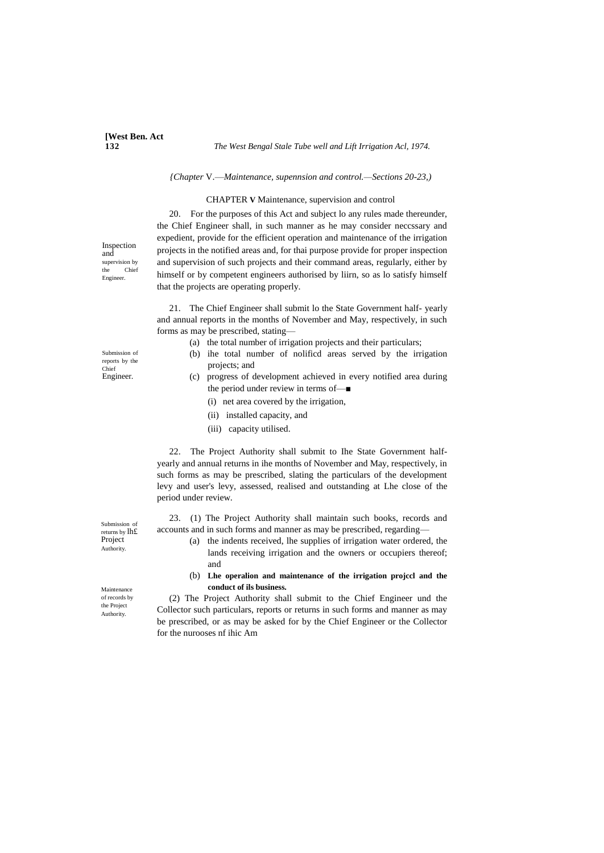# **[West Ben. Act**

#### **132** *The West Bengal Stale Tube well and Lift Irrigation Acl, 1974.*

#### *{Chapter* V.—*Maintenance, supennsion and control.—Sections 20-23,)*

#### CHAPTER **V** Maintenance, supervision and control

20. For the purposes of this Act and subject lo any rules made thereunder, the Chief Engineer shall, in such manner as he may consider neccssary and expedient, provide for the efficient operation and maintenance of the irrigation projects in the notified areas and, for thai purpose provide for proper inspection and supervision of such projects and their command areas, regularly, either by himself or by competent engineers authorised by liirn, so as lo satisfy himself that the projects are operating properly.

21. The Chief Engineer shall submit lo the State Government half- yearly and annual reports in the months of November and May, respectively, in such forms as may be prescribed, stating—

- (a) the total number of irrigation projects and their particulars;
- (b) ihe total number of nolificd areas served by the irrigation projects; and
- (c) progress of development achieved in every notified area during the period under review in terms of—■
	- (i) net area covered by the irrigation,
	- (ii) installed capacity, and
	- (iii) capacity utilised.

22. The Project Authority shall submit to Ihe State Government halfyearly and annual returns in ihe months of November and May, respectively, in such forms as may be prescribed, slating the particulars of the development levy and user's levy, assessed, realised and outstanding at Lhe close of the period under review.

23. (1) The Project Authority shall maintain such books, records and accounts and in such forms and manner as may be prescribed, regarding—

- (a) the indents received, lhe supplies of irrigation water ordered, the lands receiving irrigation and the owners or occupiers thereof; and
- (b) **Lhe operalion and maintenance of the irrigation projccl and the conduct of ils business.**

(2) The Project Authority shall submit to the Chief Engineer und the Collector such particulars, reports or returns in such forms and manner as may be prescribed, or as may be asked for by the Chief Engineer or the Collector for the nurooses nf ihic Am

Inspection and supervision by<br>the Chief Chief Engineer.

Submission of reports by the Chief Engineer.

Submission of returns by lh£ Project Authority.

Maintenance of records by the Project **Authority**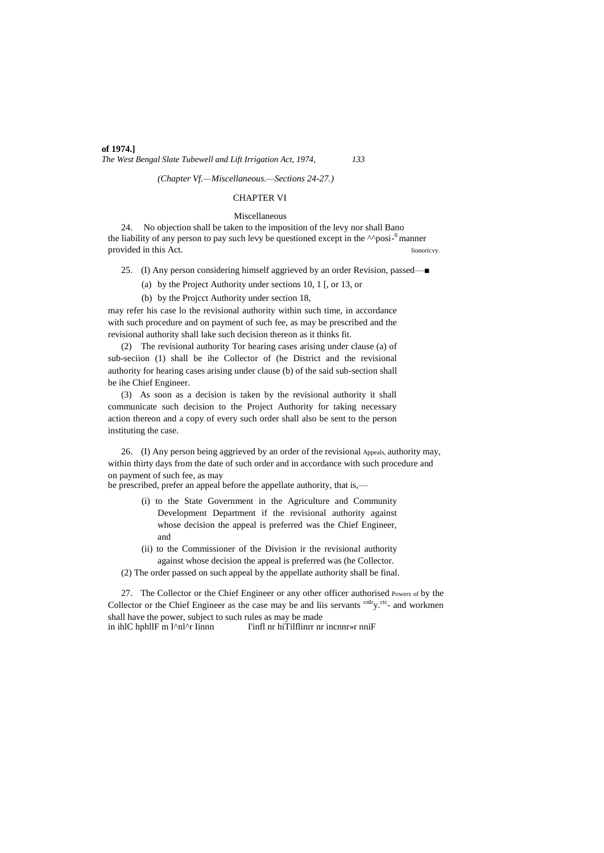# **of 1974.]** *The West Bengal Slate Tubewell and Lift Irrigation Act, 1974, 133*

*(Chapter Vf.—Miscellaneous.—Sections 24-27.)*

#### CHAPTER VI

#### Miscellaneous

24. No objection shall be taken to the imposition of the levy nor shall Bano the liability of any person to pay such levy be questioned except in the  $\wedge$ posi- $^0$ manner provided in this Act. lionoricvy.

25. (I) Any person considering himself aggrieved by an order Revision, passed—■

(a) by the Project Authority under sections 10, 1 [, or 13, or

(b) by the Projcct Authority under section 18,

may refer his case lo the revisional authority within such time, in accordance with such procedure and on payment of such fee, as may be prescribed and the revisional authority shall lake such decision thereon as it thinks fit.

(2) The revisional authority Tor hearing cases arising under clause (a) of sub-seciion (1) shall be ihe Collector of (he District and the revisional authority for hearing cases arising under clause (b) of the said sub-section shall be ihe Chief Engineer.

(3) As soon as a decision is taken by the revisional authority it shall communicate such decision to the Project Authority for taking necessary action thereon and a copy of every such order shall also be sent to the person instituting the case.

26. (I) Any person being aggrieved by an order of the revisional Appeals, authority may, within thirty days from the date of such order and in accordance with such procedure and on payment of such fee, as may

be prescribed, prefer an appeal before the appellate authority, that is,—

- (i) to the State Government in the Agriculture and Community Development Department if the revisional authority against whose decision the appeal is preferred was the Chief Engineer, and
- (ii) to the Commissioner of the Division ir the revisional authority against whose decision the appeal is preferred was (he Collector.
- (2) The order passed on such appeal by the appellate authority shall be final.

27. The Collector or the Chief Engineer or any other officer authorised Powers of by the Collector or the Chief Engineer as the case may be and liis servants  ${}^{\text{cnIr}}$ y.<sup>ctc</sup>- and workmen shall have the power, subject to such rules as may be made<br>in ihlC hphllF m I^nl^r Iinnn [infl nr hiTilflinnr nr I'infl nr hiTilflinrr nr incnnr»r nniF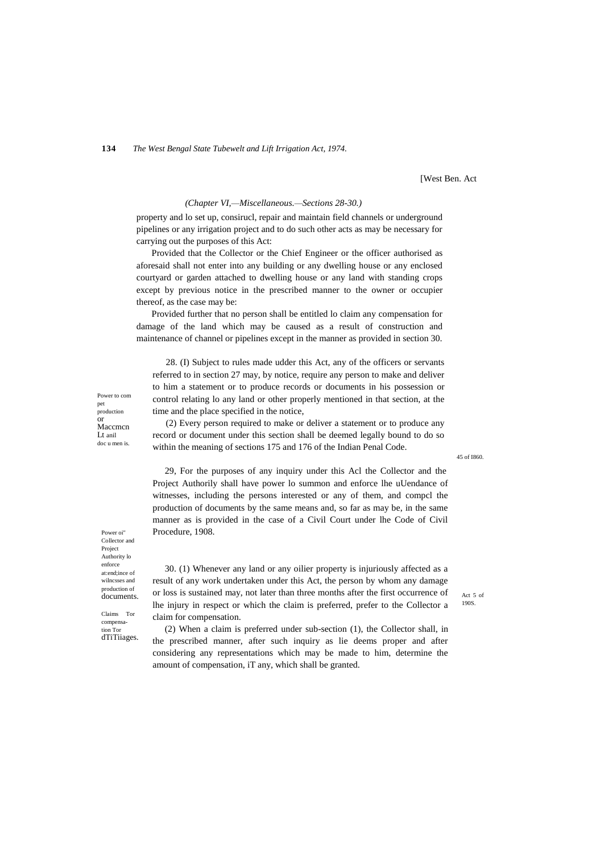**134** *The West Bengal State Tubewelt and Lift Irrigation Act, 1974.*

[West Ben. Act

#### *(Chapter VI,—Miscellaneous.—Sections 28-30.)*

property and lo set up, consirucl, repair and maintain field channels or underground pipelines or any irrigation project and to do such other acts as may be necessary for carrying out the purposes of this Act:

Provided that the Collector or the Chief Engineer or the officer authorised as aforesaid shall not enter into any building or any dwelling house or any enclosed courtyard or garden attached to dwelling house or any land with standing crops except by previous notice in the prescribed manner to the owner or occupier thereof, as the case may be:

Provided further that no person shall be entitled lo claim any compensation for damage of the land which may be caused as a result of construction and maintenance of channel or pipelines except in the manner as provided in section 30.

28. (I) Subject to rules made udder this Act, any of the officers or servants referred to in section 27 may, by notice, require any person to make and deliver to him a statement or to produce records or documents in his possession or control relating lo any land or other properly mentioned in that section, at the time and the place specified in the notice,

(2) Every person required to make or deliver a statement or to produce any record or document under this section shall be deemed legally bound to do so within the meaning of sections 175 and 176 of the Indian Penal Code.

45 of I860.

29, For the purposes of any inquiry under this Acl the Collector and the Project Authorily shall have power lo summon and enforce lhe uUendance of witnesses, including the persons interested or any of them, and compcl the production of documents by the same means and, so far as may be, in the same manner as is provided in the case of a Civil Court under lhe Code of Civil Procedure, 1908.

Power oi" Collector and Project Authority lo enforce at:end;ince of wilncsses and production of documents.

Claims Tor compensation Tor dTiTiiages. result of any work undertaken under this Act, the person by whom any damage or loss is sustained may, not later than three months after the first occurrence of lhe injury in respect or which the claim is preferred, prefer to the Collector a claim for compensation. (2) When a claim is preferred under sub-section (1), the Collector shall, in

30. (1) Whenever any land or any oilier property is injuriously affected as a

the prescribed manner, after such inquiry as lie deems proper and after considering any representations which may be made to him, determine the amount of compensation, iT any, which shall be granted.

Act 5 of 190S.

Power to com production

pet

or Maccmcn Lt anil doc u men is.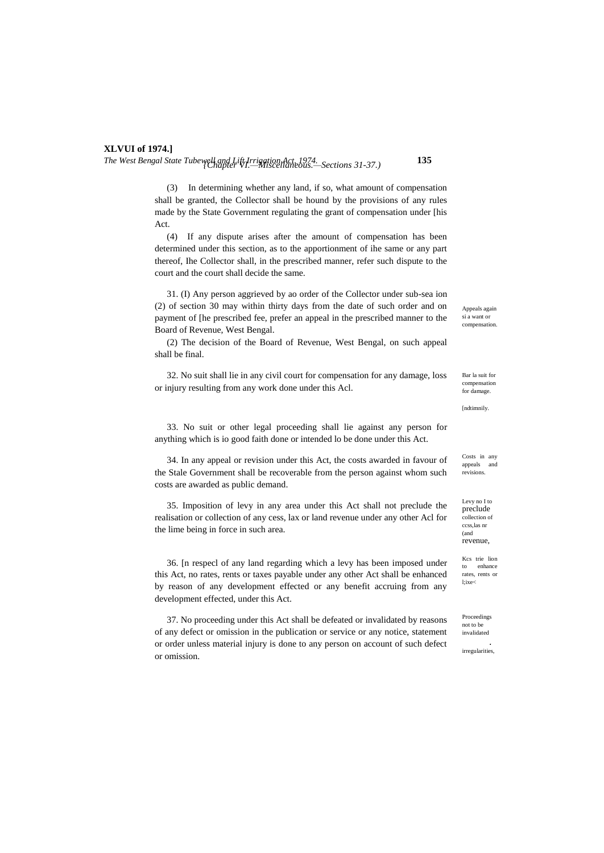*The West Bengal State Tubewell and Lift Irrigation Act, 1974.* **135** *{Chapter VI.—Miscellaneous.—Sections 31-37.)*

(3) In determining whether any land, if so, what amount of compensation shall be granted, the Collector shall be hound by the provisions of any rules made by the State Government regulating the grant of compensation under [his Act.

(4) If any dispute arises after the amount of compensation has been determined under this section, as to the apportionment of ihe same or any part thereof, Ihe Collector shall, in the prescribed manner, refer such dispute to the court and the court shall decide the same.

31. (I) Any person aggrieved by ao order of the Collector under sub-sea ion (2) of section 30 may within thirty days from the date of such order and on payment of [he prescribed fee, prefer an appeal in the prescribed manner to the Board of Revenue, West Bengal.

(2) The decision of the Board of Revenue, West Bengal, on such appeal shall be final.

32. No suit shall lie in any civil court for compensation for any damage, loss or injury resulting from any work done under this Acl.

33. No suit or other legal proceeding shall lie against any person for anything which is io good faith done or intended lo be done under this Act.

34. In any appeal or revision under this Act, the costs awarded in favour of the Stale Government shall be recoverable from the person against whom such costs are awarded as public demand.

35. Imposition of levy in any area under this Act shall not preclude the realisation or collection of any cess, lax or land revenue under any other Acl for the lime being in force in such area.

36. [n respecl of any land regarding which a levy has been imposed under this Act, no rates, rents or taxes payable under any other Act shall be enhanced by reason of any development effected or any benefit accruing from any development effected, under this Act.

37. No proceeding under this Act shall be defeated or invalidated by reasons of any defect or omission in the publication or service or any notice, statement or order unless material injury is done to any person on account of such defect or omission.

Appeals again si a want or compensation.

Bar la suit for compensation for damage.

[ndtimnily.

Costs in any appeals and revisions.

Levy no I to preclude collection of ccss,las nr (and revenue,

Kcs trie lion to enhance rates, rents or l;ixe<

Proceedings not to be invalidated

*.* irregularities,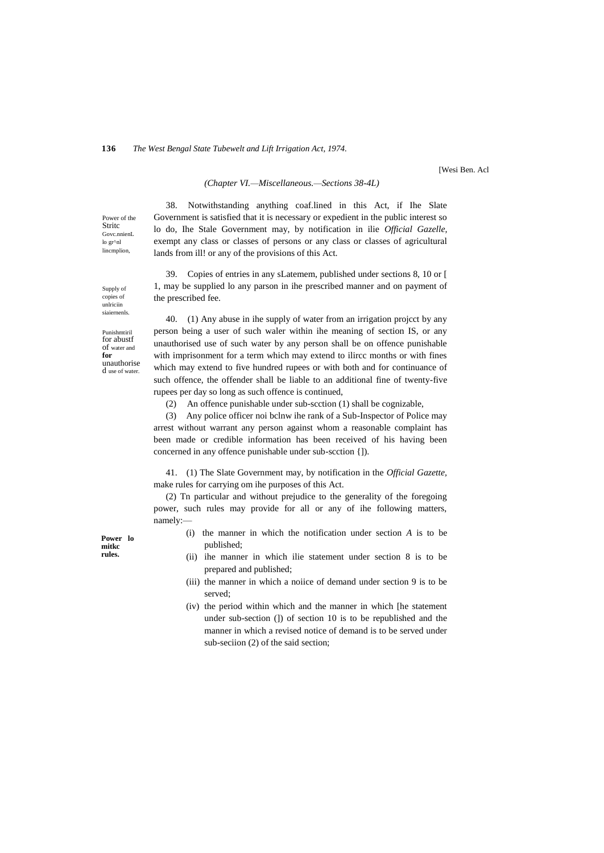# **136** *The West Bengal State Tubewelt and Lift Irrigation Act, 1974.*

[Wesi Ben. Acl

# *(Chapter VI.—Miscellaneous.—Sections 38-4L)*

Power of the **Stritc** Govc.nnienL lo gr^nl lincmplion

Supply of copies of unlriciin siaiernenls.

38. Notwithstanding anything coaf.lined in this Act, if Ihe Slate Government is satisfied that it is necessary or expedient in the public interest so lo do, Ihe Stale Government may, by notification in ilie *Official Gazelle,* exempt any class or classes of persons or any class or classes of agricultural lands from ill! or any of the provisions of this Act.

39. Copies of entries in any sLatemem, published under sections 8, 10 or [ 1, may be supplied lo any parson in ihe prescribed manner and on payment of the prescribed fee.

Punishmtiril for abustf of water and **for** unauthorise d use of water.

40. (1) Any abuse in ihe supply of water from an irrigation projcct by any person being a user of such waler within ihe meaning of section IS, or any unauthorised use of such water by any person shall be on offence punishable with imprisonment for a term which may extend to ilircc months or with fines which may extend to five hundred rupees or with both and for continuance of such offence, the offender shall be liable to an additional fine of twenty-five rupees per day so long as such offence is continued,

(2) An offence punishable under sub-scction (1) shall be cognizable,

(3) Any police officer noi bclnw ihe rank of a Sub-Inspector of Police may arrest without warrant any person against whom a reasonable complaint has been made or credible information has been received of his having been concerned in any offence punishable under sub-scction {]).

41. (1) The Slate Government may, by notification in the *Official Gazette,* make rules for carrying om ihe purposes of this Act.

(2) Tn particular and without prejudice to the generality of the foregoing power, such rules may provide for all or any of ihe following matters, namely:—

- (i) the manner in which the notification under section *A* is to be published;
- (ii) ihe manner in which ilie statement under section 8 is to be prepared and published;
- (iii) the manner in which a noiice of demand under section 9 is to be served;
- (iv) the period within which and the manner in which [he statement under sub-section (]) of section 10 is to be republished and the manner in which a revised notice of demand is to be served under sub-seciion (2) of the said section;

**Power lo mitkc rules.**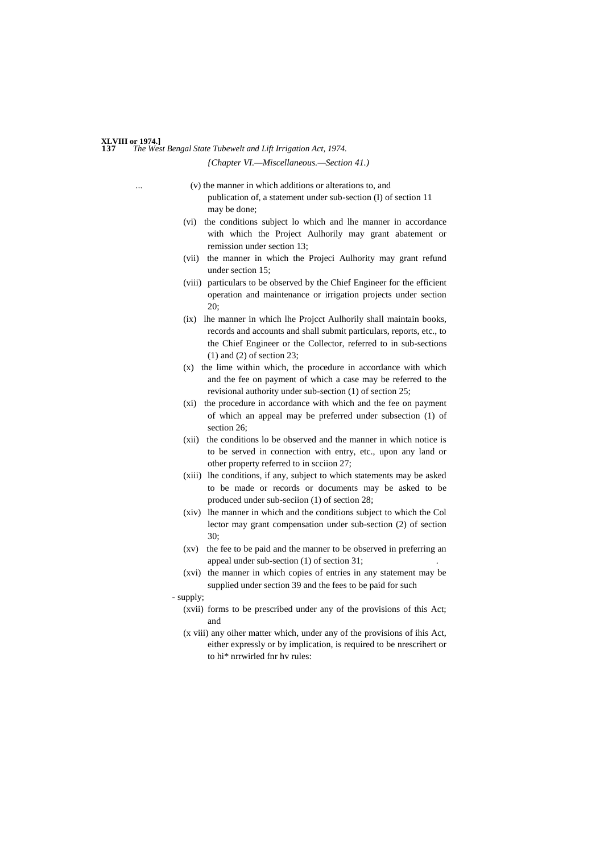#### **137** *The West Bengal State Tubewelt and Lift Irrigation Act, 1974.* **XLVIII or 1974.]** *{Chapter VI.—Miscellaneous.—Section 41.)*

- $(v)$  the manner in which additions or alterations to, and publication of, a statement under sub-section (I) of section 11 may be done;
- (vi) the conditions subject lo which and lhe manner in accordance with which the Project Aulhorily may grant abatement or remission under section 13;
- (vii) the manner in which the Projeci Aulhority may grant refund under section 15;
- (viii) particulars to be observed by the Chief Engineer for the efficient operation and maintenance or irrigation projects under section 20;
- (ix) lhe manner in which lhe Projcct Aulhorily shall maintain books, records and accounts and shall submit particulars, reports, etc., to the Chief Engineer or the Collector, referred to in sub-sections (1) and (2) of section 23;
- (x) the lime within which, the procedure in accordance with which and the fee on payment of which a case may be referred to the revisional authority under sub-section (1) of section 25;
- (xi) the procedure in accordance with which and the fee on payment of which an appeal may be preferred under subsection (1) of section 26;
- (xii) the conditions lo be observed and the manner in which notice is to be served in connection with entry, etc., upon any land or other property referred to in scciion 27;
- (xiii) lhe conditions, if any, subject to which statements may be asked to be made or records or documents may be asked to be produced under sub-seciion (1) of section 28;
- (xiv) lhe manner in which and the conditions subject to which the Col lector may grant compensation under sub-section (2) of section 30;
- (xv) the fee to be paid and the manner to be observed in preferring an appeal under sub-section  $(1)$  of section  $31$ ;
- (xvi) the manner in which copies of entries in any statement may be supplied under section 39 and the fees to be paid for such
- supply;
	- (xvii) forms to be prescribed under any of the provisions of this Act; and
	- (x viii) any oiher matter which, under any of the provisions of ihis Act, either expressly or by implication, is required to be nrescrihert or to hi\* nrrwirled fnr hv rules: